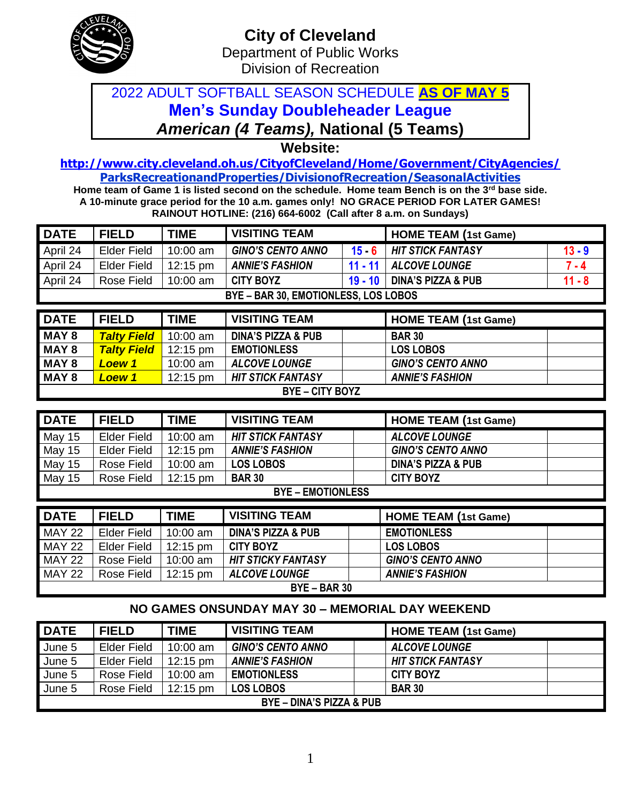

## 2022 ADULT SOFTBALL SEASON SCHEDULE **AS OF MAY 5 Men's Sunday Doubleheader League** *American (4 Teams),* **National (5 Teams)**

**Website:** 

**<http://www.city.cleveland.oh.us/CityofCleveland/Home/Government/CityAgencies/> ParksRecreationandProperties/DivisionofRecreation/SeasonalActivities**

**Home team of Game 1 is listed second on the schedule. Home team Bench is on the 3rd base side. A 10-minute grace period for the 10 a.m. games only! NO GRACE PERIOD FOR LATER GAMES! RAINOUT HOTLINE: (216) 664-6002 (Call after 8 a.m. on Sundays)**

| <b>DATE</b>   | <b>FIELD</b>                         | <b>TIME</b> | <b>VISITING TEAM</b>          |           | <b>HOME TEAM (1st Game)</b>   |          |  |  |  |
|---------------|--------------------------------------|-------------|-------------------------------|-----------|-------------------------------|----------|--|--|--|
| April 24      | <b>Elder Field</b>                   | 10:00 am    | <b>GINO'S CENTO ANNO</b>      | $15 - 6$  | <b>HIT STICK FANTASY</b>      | $13 - 9$ |  |  |  |
| April 24      | <b>Elder Field</b>                   | 12:15 pm    | <b>ANNIE'S FASHION</b>        | $11 - 11$ | <b>ALCOVE LOUNGE</b>          |          |  |  |  |
| April 24      | Rose Field                           | 10:00 am    | <b>CITY BOYZ</b>              | $19 - 10$ | <b>DINA'S PIZZA &amp; PUB</b> | $11 - 8$ |  |  |  |
|               | BYE - BAR 30, EMOTIONLESS, LOS LOBOS |             |                               |           |                               |          |  |  |  |
|               |                                      |             |                               |           |                               |          |  |  |  |
| <b>DATE</b>   | <b>FIELD</b>                         | <b>TIME</b> | <b>VISITING TEAM</b>          |           | <b>HOME TEAM (1st Game)</b>   |          |  |  |  |
| <b>MAY 8</b>  | <b>Talty Field</b>                   | 10:00 am    | <b>DINA'S PIZZA &amp; PUB</b> |           | <b>BAR 30</b>                 |          |  |  |  |
| <b>MAY 8</b>  | <b>Talty Field</b>                   | 12:15 pm    | <b>EMOTIONLESS</b>            |           | <b>LOS LOBOS</b>              |          |  |  |  |
| <b>MAY 8</b>  | <b>Loew 1</b>                        | 10:00 am    | <b>ALCOVE LOUNGE</b>          |           | <b>GINO'S CENTO ANNO</b>      |          |  |  |  |
| <b>MAY 8</b>  | <b>Loew 1</b>                        | 12:15 pm    | <b>HIT STICK FANTASY</b>      |           | <b>ANNIE'S FASHION</b>        |          |  |  |  |
|               |                                      |             | <b>BYE-CITY BOYZ</b>          |           |                               |          |  |  |  |
|               |                                      |             |                               |           |                               |          |  |  |  |
|               |                                      |             |                               |           |                               |          |  |  |  |
| <b>DATE</b>   | <b>FIELD</b>                         | <b>TIME</b> | <b>VISITING TEAM</b>          |           | <b>HOME TEAM (1st Game)</b>   |          |  |  |  |
| <b>May 15</b> | <b>Elder Field</b>                   | 10:00 am    | <b>HIT STICK FANTASY</b>      |           | <b>ALCOVE LOUNGE</b>          |          |  |  |  |
| May 15        | <b>Elder Field</b>                   | 12:15 pm    | <b>ANNIE'S FASHION</b>        |           | <b>GINO'S CENTO ANNO</b>      |          |  |  |  |
| <b>May 15</b> | Rose Field                           | 10:00 am    | <b>LOS LOBOS</b>              |           | <b>DINA'S PIZZA &amp; PUB</b> |          |  |  |  |
| May 15        | Rose Field                           | 12:15 pm    | <b>BAR 30</b>                 |           | <b>CITY BOYZ</b>              |          |  |  |  |
|               |                                      |             | <b>BYE - EMOTIONLESS</b>      |           |                               |          |  |  |  |
|               |                                      |             |                               |           |                               |          |  |  |  |
| <b>DATE</b>   | <b>FIELD</b>                         | <b>TIME</b> | <b>VISITING TEAM</b>          |           | <b>HOME TEAM (1st Game)</b>   |          |  |  |  |
| <b>MAY 22</b> | <b>Elder Field</b>                   | 10:00 am    | <b>DINA'S PIZZA &amp; PUB</b> |           | <b>EMOTIONLESS</b>            |          |  |  |  |
| <b>MAY 22</b> | <b>Elder Field</b>                   | 12:15 pm    | <b>CITY BOYZ</b>              |           | <b>LOS LOBOS</b>              |          |  |  |  |
| <b>MAY 22</b> | Rose Field                           | 10:00 am    | <b>HIT STICKY FANTASY</b>     |           | <b>GINO'S CENTO ANNO</b>      |          |  |  |  |

## **NO GAMES ONSUNDAY MAY 30 – MEMORIAL DAY WEEKEND**

**BYE – BAR 30**

| <b>DATE</b>                         | <b>FIELD</b>       | TIME               | <b>VISITING TEAM</b>     | <b>HOME TEAM (1st Game)</b> |  |
|-------------------------------------|--------------------|--------------------|--------------------------|-----------------------------|--|
| June 5                              | Elder Field        | $10:00$ am         | <b>GINO'S CENTO ANNO</b> | <b>ALCOVE LOUNGE</b>        |  |
| June 5                              | <b>Elder Field</b> | $12:15 \text{ pm}$ | <b>ANNIE'S FASHION</b>   | <b>HIT STICK FANTASY</b>    |  |
| June 5                              | Rose Field         | $10:00$ am         | <b>EMOTIONLESS</b>       | <b>CITY BOYZ</b>            |  |
| June 5                              | Rose Field         | $12:15 \text{ pm}$ | <b>LOS LOBOS</b>         | <b>BAR 30</b>               |  |
| <b>BYE - DINA'S PIZZA &amp; PUB</b> |                    |                    |                          |                             |  |